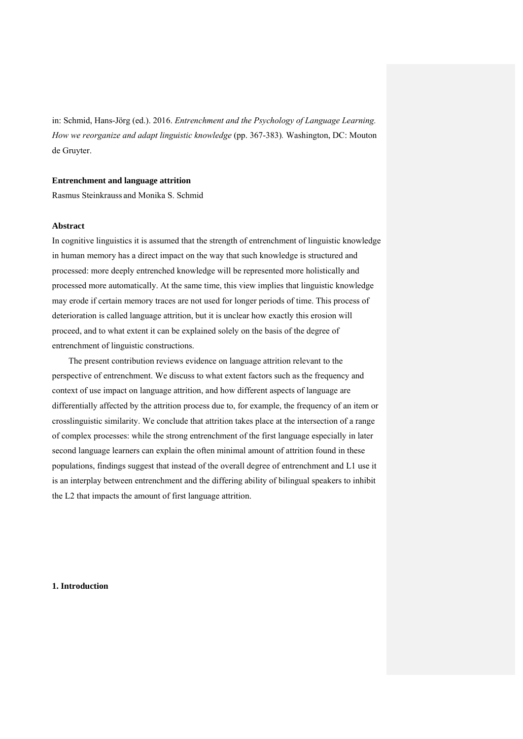in: Schmid, Hans-Jörg (ed.). 2016. *Entrenchment and the Psychology of Language Learning. How we reorganize and adapt linguistic knowledge* (pp. 367-383)*.* Washington, DC: Mouton de Gruyter.

## **Entrenchment and language attrition**

Rasmus Steinkrauss and Monika S. Schmid

## **Abstract**

In cognitive linguistics it is assumed that the strength of entrenchment of linguistic knowledge in human memory has a direct impact on the way that such knowledge is structured and processed: more deeply entrenched knowledge will be represented more holistically and processed more automatically. At the same time, this view implies that linguistic knowledge may erode if certain memory traces are not used for longer periods of time. This process of deterioration is called language attrition, but it is unclear how exactly this erosion will proceed, and to what extent it can be explained solely on the basis of the degree of entrenchment of linguistic constructions.

 The present contribution reviews evidence on language attrition relevant to the perspective of entrenchment. We discuss to what extent factors such as the frequency and context of use impact on language attrition, and how different aspects of language are differentially affected by the attrition process due to, for example, the frequency of an item or crosslinguistic similarity. We conclude that attrition takes place at the intersection of a range of complex processes: while the strong entrenchment of the first language especially in later second language learners can explain the often minimal amount of attrition found in these populations, findings suggest that instead of the overall degree of entrenchment and L1 use it is an interplay between entrenchment and the differing ability of bilingual speakers to inhibit the L2 that impacts the amount of first language attrition.

#### **1. Introduction**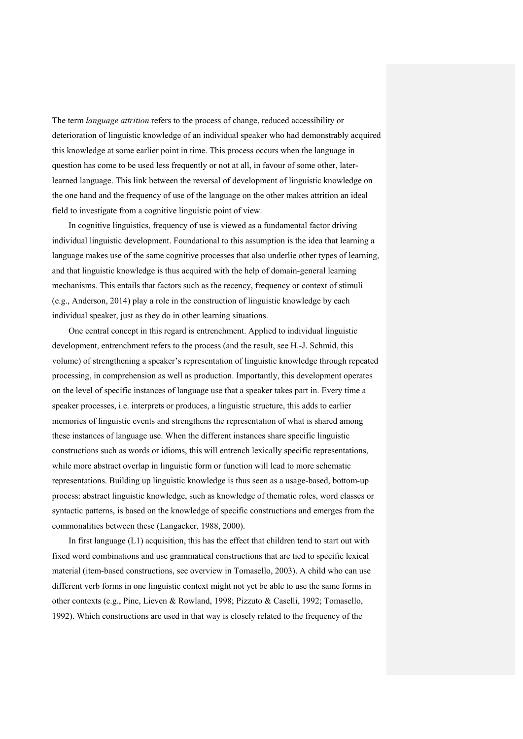The term *language attrition* refers to the process of change, reduced accessibility or deterioration of linguistic knowledge of an individual speaker who had demonstrably acquired this knowledge at some earlier point in time. This process occurs when the language in question has come to be used less frequently or not at all, in favour of some other, laterlearned language. This link between the reversal of development of linguistic knowledge on the one hand and the frequency of use of the language on the other makes attrition an ideal field to investigate from a cognitive linguistic point of view.

 In cognitive linguistics, frequency of use is viewed as a fundamental factor driving individual linguistic development. Foundational to this assumption is the idea that learning a language makes use of the same cognitive processes that also underlie other types of learning, and that linguistic knowledge is thus acquired with the help of domain-general learning mechanisms. This entails that factors such as the recency, frequency or context of stimuli (e.g., Anderson, 2014) play a role in the construction of linguistic knowledge by each individual speaker, just as they do in other learning situations.

 One central concept in this regard is entrenchment. Applied to individual linguistic development, entrenchment refers to the process (and the result, see H.-J. Schmid, this volume) of strengthening a speaker's representation of linguistic knowledge through repeated processing, in comprehension as well as production. Importantly, this development operates on the level of specific instances of language use that a speaker takes part in. Every time a speaker processes, i.e. interprets or produces, a linguistic structure, this adds to earlier memories of linguistic events and strengthens the representation of what is shared among these instances of language use. When the different instances share specific linguistic constructions such as words or idioms, this will entrench lexically specific representations, while more abstract overlap in linguistic form or function will lead to more schematic representations. Building up linguistic knowledge is thus seen as a usage-based, bottom-up process: abstract linguistic knowledge, such as knowledge of thematic roles, word classes or syntactic patterns, is based on the knowledge of specific constructions and emerges from the commonalities between these (Langacker, 1988, 2000).

 In first language (L1) acquisition, this has the effect that children tend to start out with fixed word combinations and use grammatical constructions that are tied to specific lexical material (item-based constructions, see overview in Tomasello, 2003). A child who can use different verb forms in one linguistic context might not yet be able to use the same forms in other contexts (e.g., Pine, Lieven & Rowland, 1998; Pizzuto & Caselli, 1992; Tomasello, 1992). Which constructions are used in that way is closely related to the frequency of the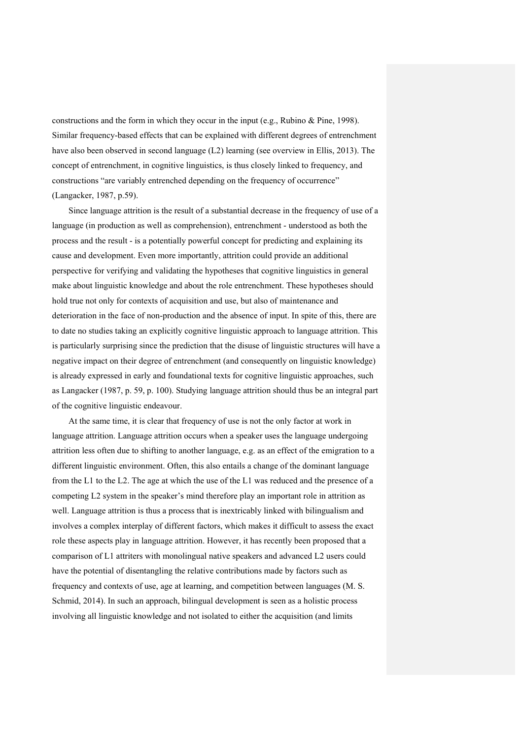constructions and the form in which they occur in the input (e.g., Rubino & Pine, 1998). Similar frequency-based effects that can be explained with different degrees of entrenchment have also been observed in second language (L2) learning (see overview in Ellis, 2013). The concept of entrenchment, in cognitive linguistics, is thus closely linked to frequency, and constructions "are variably entrenched depending on the frequency of occurrence" (Langacker, 1987, p.59).

 Since language attrition is the result of a substantial decrease in the frequency of use of a language (in production as well as comprehension), entrenchment - understood as both the process and the result - is a potentially powerful concept for predicting and explaining its cause and development. Even more importantly, attrition could provide an additional perspective for verifying and validating the hypotheses that cognitive linguistics in general make about linguistic knowledge and about the role entrenchment. These hypotheses should hold true not only for contexts of acquisition and use, but also of maintenance and deterioration in the face of non-production and the absence of input. In spite of this, there are to date no studies taking an explicitly cognitive linguistic approach to language attrition. This is particularly surprising since the prediction that the disuse of linguistic structures will have a negative impact on their degree of entrenchment (and consequently on linguistic knowledge) is already expressed in early and foundational texts for cognitive linguistic approaches, such as Langacker (1987, p. 59, p. 100). Studying language attrition should thus be an integral part of the cognitive linguistic endeavour.

 At the same time, it is clear that frequency of use is not the only factor at work in language attrition. Language attrition occurs when a speaker uses the language undergoing attrition less often due to shifting to another language, e.g. as an effect of the emigration to a different linguistic environment. Often, this also entails a change of the dominant language from the L1 to the L2. The age at which the use of the L1 was reduced and the presence of a competing L2 system in the speaker's mind therefore play an important role in attrition as well. Language attrition is thus a process that is inextricably linked with bilingualism and involves a complex interplay of different factors, which makes it difficult to assess the exact role these aspects play in language attrition. However, it has recently been proposed that a comparison of L1 attriters with monolingual native speakers and advanced L2 users could have the potential of disentangling the relative contributions made by factors such as frequency and contexts of use, age at learning, and competition between languages (M. S. Schmid, 2014). In such an approach, bilingual development is seen as a holistic process involving all linguistic knowledge and not isolated to either the acquisition (and limits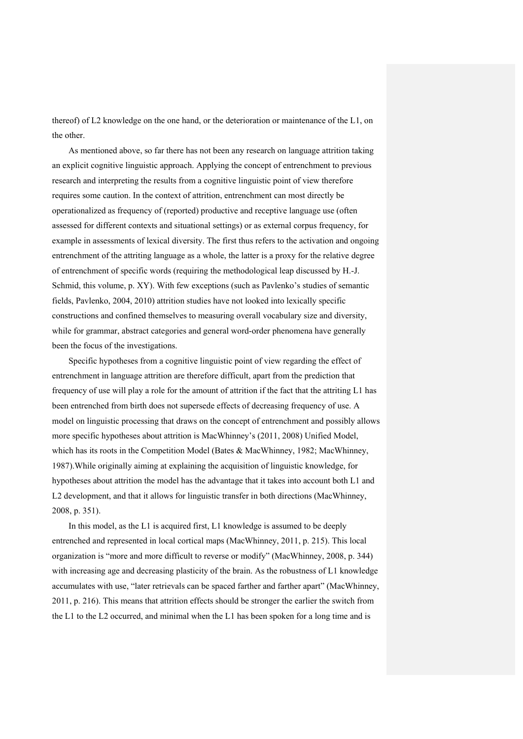thereof) of L2 knowledge on the one hand, or the deterioration or maintenance of the L1, on the other.

 As mentioned above, so far there has not been any research on language attrition taking an explicit cognitive linguistic approach. Applying the concept of entrenchment to previous research and interpreting the results from a cognitive linguistic point of view therefore requires some caution. In the context of attrition, entrenchment can most directly be operationalized as frequency of (reported) productive and receptive language use (often assessed for different contexts and situational settings) or as external corpus frequency, for example in assessments of lexical diversity. The first thus refers to the activation and ongoing entrenchment of the attriting language as a whole, the latter is a proxy for the relative degree of entrenchment of specific words (requiring the methodological leap discussed by H.-J. Schmid, this volume, p. XY). With few exceptions (such as Pavlenko's studies of semantic fields, Pavlenko, 2004, 2010) attrition studies have not looked into lexically specific constructions and confined themselves to measuring overall vocabulary size and diversity, while for grammar, abstract categories and general word-order phenomena have generally been the focus of the investigations.

 Specific hypotheses from a cognitive linguistic point of view regarding the effect of entrenchment in language attrition are therefore difficult, apart from the prediction that frequency of use will play a role for the amount of attrition if the fact that the attriting L1 has been entrenched from birth does not supersede effects of decreasing frequency of use. A model on linguistic processing that draws on the concept of entrenchment and possibly allows more specific hypotheses about attrition is MacWhinney's (2011, 2008) Unified Model, which has its roots in the Competition Model (Bates & MacWhinney, 1982; MacWhinney, 1987).While originally aiming at explaining the acquisition of linguistic knowledge, for hypotheses about attrition the model has the advantage that it takes into account both L1 and L2 development, and that it allows for linguistic transfer in both directions (MacWhinney, 2008, p. 351).

 In this model, as the L1 is acquired first, L1 knowledge is assumed to be deeply entrenched and represented in local cortical maps (MacWhinney, 2011, p. 215). This local organization is "more and more difficult to reverse or modify" (MacWhinney, 2008, p. 344) with increasing age and decreasing plasticity of the brain. As the robustness of L1 knowledge accumulates with use, "later retrievals can be spaced farther and farther apart" (MacWhinney, 2011, p. 216). This means that attrition effects should be stronger the earlier the switch from the L1 to the L2 occurred, and minimal when the L1 has been spoken for a long time and is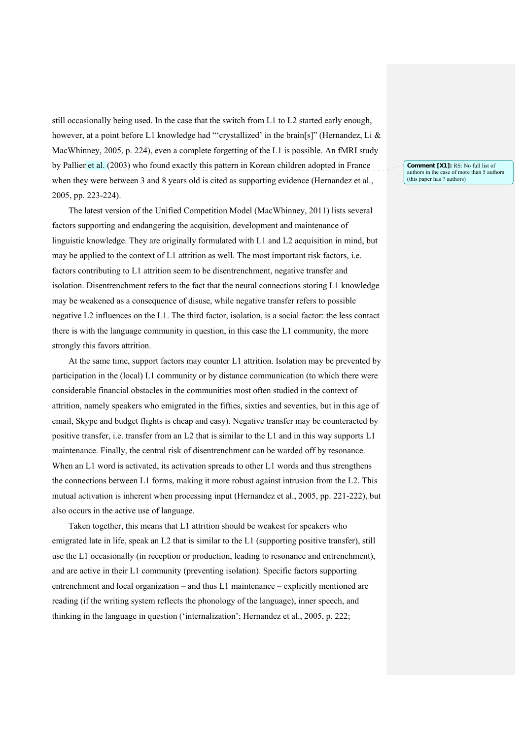still occasionally being used. In the case that the switch from L1 to L2 started early enough, however, at a point before L1 knowledge had "crystallized' in the brain[s]" (Hernandez, Li & MacWhinney, 2005, p. 224), even a complete forgetting of the L1 is possible. An fMRI study by Pallier et al. (2003) who found exactly this pattern in Korean children adopted in France when they were between 3 and 8 years old is cited as supporting evidence (Hernandez et al., 2005, pp. 223-224).

 The latest version of the Unified Competition Model (MacWhinney, 2011) lists several factors supporting and endangering the acquisition, development and maintenance of linguistic knowledge. They are originally formulated with L1 and L2 acquisition in mind, but may be applied to the context of L1 attrition as well. The most important risk factors, i.e. factors contributing to L1 attrition seem to be disentrenchment, negative transfer and isolation. Disentrenchment refers to the fact that the neural connections storing L1 knowledge may be weakened as a consequence of disuse, while negative transfer refers to possible negative L2 influences on the L1. The third factor, isolation, is a social factor: the less contact there is with the language community in question, in this case the L1 community, the more strongly this favors attrition.

 At the same time, support factors may counter L1 attrition. Isolation may be prevented by participation in the (local) L1 community or by distance communication (to which there were considerable financial obstacles in the communities most often studied in the context of attrition, namely speakers who emigrated in the fifties, sixties and seventies, but in this age of email, Skype and budget flights is cheap and easy). Negative transfer may be counteracted by positive transfer, i.e. transfer from an L2 that is similar to the L1 and in this way supports L1 maintenance. Finally, the central risk of disentrenchment can be warded off by resonance. When an L1 word is activated, its activation spreads to other L1 words and thus strengthens the connections between L1 forms, making it more robust against intrusion from the L2. This mutual activation is inherent when processing input (Hernandez et al., 2005, pp. 221-222), but also occurs in the active use of language.

 Taken together, this means that L1 attrition should be weakest for speakers who emigrated late in life, speak an L2 that is similar to the L1 (supporting positive transfer), still use the L1 occasionally (in reception or production, leading to resonance and entrenchment), and are active in their L1 community (preventing isolation). Specific factors supporting entrenchment and local organization – and thus L1 maintenance – explicitly mentioned are reading (if the writing system reflects the phonology of the language), inner speech, and thinking in the language in question ('internalization'; Hernandez et al., 2005, p. 222;

**Comment [X1]:** RS: No full list of authors in the case of more than 5 authors (this paper has 7 authors)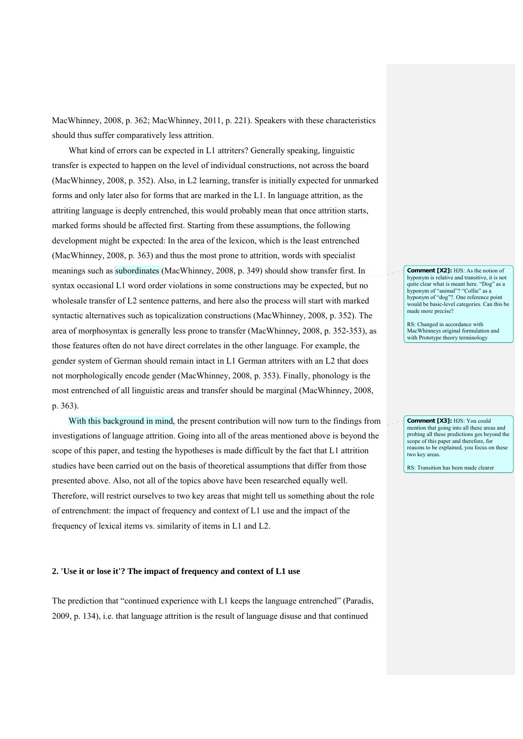MacWhinney, 2008, p. 362; MacWhinney, 2011, p. 221). Speakers with these characteristics should thus suffer comparatively less attrition.

 What kind of errors can be expected in L1 attriters? Generally speaking, linguistic transfer is expected to happen on the level of individual constructions, not across the board (MacWhinney, 2008, p. 352). Also, in L2 learning, transfer is initially expected for unmarked forms and only later also for forms that are marked in the L1. In language attrition, as the attriting language is deeply entrenched, this would probably mean that once attrition starts, marked forms should be affected first. Starting from these assumptions, the following development might be expected: In the area of the lexicon, which is the least entrenched (MacWhinney, 2008, p. 363) and thus the most prone to attrition, words with specialist meanings such as subordinates (MacWhinney, 2008, p. 349) should show transfer first. In syntax occasional L1 word order violations in some constructions may be expected, but no wholesale transfer of L2 sentence patterns, and here also the process will start with marked syntactic alternatives such as topicalization constructions (MacWhinney, 2008, p. 352). The area of morphosyntax is generally less prone to transfer (MacWhinney, 2008, p. 352-353), as those features often do not have direct correlates in the other language. For example, the gender system of German should remain intact in L1 German attriters with an L2 that does not morphologically encode gender (MacWhinney, 2008, p. 353). Finally, phonology is the most entrenched of all linguistic areas and transfer should be marginal (MacWhinney, 2008, p. 363).

With this background in mind, the present contribution will now turn to the findings from investigations of language attrition. Going into all of the areas mentioned above is beyond the scope of this paper, and testing the hypotheses is made difficult by the fact that L1 attrition studies have been carried out on the basis of theoretical assumptions that differ from those presented above. Also, not all of the topics above have been researched equally well. Therefore, will restrict ourselves to two key areas that might tell us something about the role of entrenchment: the impact of frequency and context of L1 use and the impact of the frequency of lexical items vs. similarity of items in L1 and L2.

#### **2. 'Use it or lose it'? The impact of frequency and context of L1 use**

The prediction that "continued experience with L1 keeps the language entrenched" (Paradis, 2009, p. 134), i.e. that language attrition is the result of language disuse and that continued

**Comment [X2]:** HJS: As the notion of hyponym is relative and transitive, it is not quite clear what is meant here. "Dog" as a hyponym of "animal"? "Collie" as a hyponym of "dog"?. One reference point would be basic-level categories. Can this be made more precise?

RS: Changed in accordance with MacWhinneys original formulation and with Prototype theory terminology

**Comment [X3]:** HJS: You could mention that going into all these areas and probing all these predictions ges beyond the scope of this paper and therefore, for reasons to be explained, you focus on these two key areas.

RS: Transition has been made clearer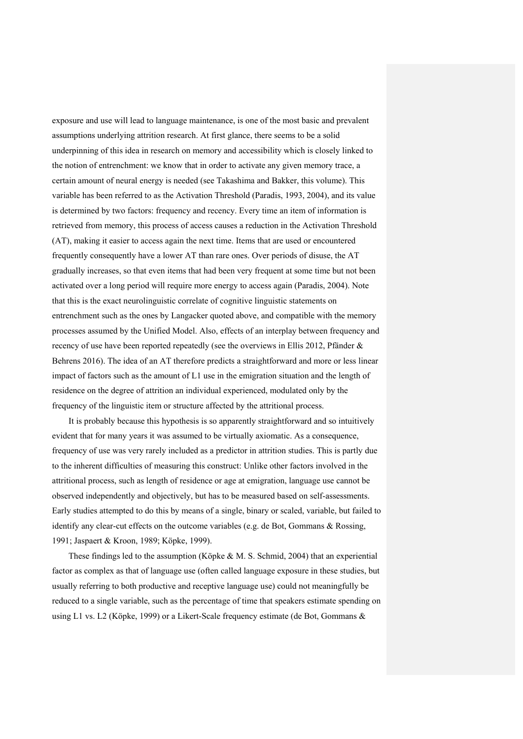exposure and use will lead to language maintenance, is one of the most basic and prevalent assumptions underlying attrition research. At first glance, there seems to be a solid underpinning of this idea in research on memory and accessibility which is closely linked to the notion of entrenchment: we know that in order to activate any given memory trace, a certain amount of neural energy is needed (see Takashima and Bakker, this volume). This variable has been referred to as the Activation Threshold (Paradis, 1993, 2004), and its value is determined by two factors: frequency and recency. Every time an item of information is retrieved from memory, this process of access causes a reduction in the Activation Threshold (AT), making it easier to access again the next time. Items that are used or encountered frequently consequently have a lower AT than rare ones. Over periods of disuse, the AT gradually increases, so that even items that had been very frequent at some time but not been activated over a long period will require more energy to access again (Paradis, 2004). Note that this is the exact neurolinguistic correlate of cognitive linguistic statements on entrenchment such as the ones by Langacker quoted above, and compatible with the memory processes assumed by the Unified Model. Also, effects of an interplay between frequency and recency of use have been reported repeatedly (see the overviews in Ellis 2012, Pfänder & Behrens 2016). The idea of an AT therefore predicts a straightforward and more or less linear impact of factors such as the amount of L1 use in the emigration situation and the length of residence on the degree of attrition an individual experienced, modulated only by the frequency of the linguistic item or structure affected by the attritional process.

 It is probably because this hypothesis is so apparently straightforward and so intuitively evident that for many years it was assumed to be virtually axiomatic. As a consequence, frequency of use was very rarely included as a predictor in attrition studies. This is partly due to the inherent difficulties of measuring this construct: Unlike other factors involved in the attritional process, such as length of residence or age at emigration, language use cannot be observed independently and objectively, but has to be measured based on self-assessments. Early studies attempted to do this by means of a single, binary or scaled, variable, but failed to identify any clear-cut effects on the outcome variables (e.g. de Bot, Gommans & Rossing, 1991; Jaspaert & Kroon, 1989; Köpke, 1999).

 These findings led to the assumption (Köpke & M. S. Schmid, 2004) that an experiential factor as complex as that of language use (often called language exposure in these studies, but usually referring to both productive and receptive language use) could not meaningfully be reduced to a single variable, such as the percentage of time that speakers estimate spending on using L1 vs. L2 (Köpke, 1999) or a Likert-Scale frequency estimate (de Bot, Gommans &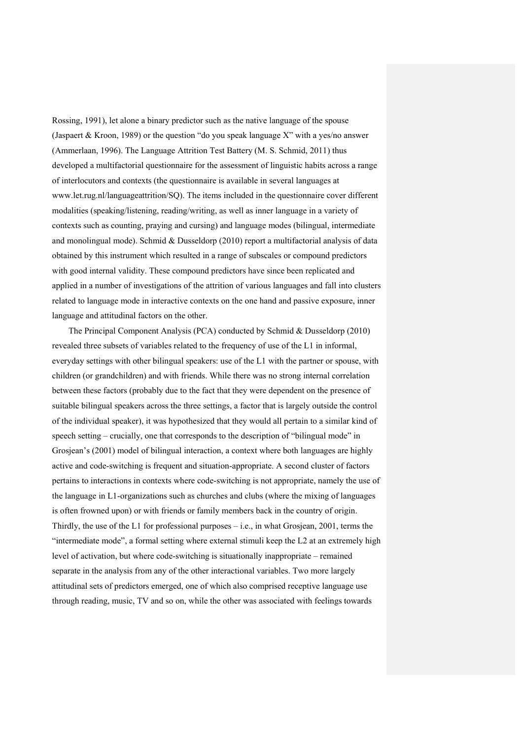Rossing, 1991), let alone a binary predictor such as the native language of the spouse (Jaspaert & Kroon, 1989) or the question "do you speak language  $X$ " with a yes/no answer (Ammerlaan, 1996). The Language Attrition Test Battery (M. S. Schmid, 2011) thus developed a multifactorial questionnaire for the assessment of linguistic habits across a range of interlocutors and contexts (the questionnaire is available in several languages at www.let.rug.nl/languageattrition/SQ). The items included in the questionnaire cover different modalities (speaking/listening, reading/writing, as well as inner language in a variety of contexts such as counting, praying and cursing) and language modes (bilingual, intermediate and monolingual mode). Schmid & Dusseldorp (2010) report a multifactorial analysis of data obtained by this instrument which resulted in a range of subscales or compound predictors with good internal validity. These compound predictors have since been replicated and applied in a number of investigations of the attrition of various languages and fall into clusters related to language mode in interactive contexts on the one hand and passive exposure, inner language and attitudinal factors on the other.

 The Principal Component Analysis (PCA) conducted by Schmid & Dusseldorp (2010) revealed three subsets of variables related to the frequency of use of the L1 in informal, everyday settings with other bilingual speakers: use of the L1 with the partner or spouse, with children (or grandchildren) and with friends. While there was no strong internal correlation between these factors (probably due to the fact that they were dependent on the presence of suitable bilingual speakers across the three settings, a factor that is largely outside the control of the individual speaker), it was hypothesized that they would all pertain to a similar kind of speech setting – crucially, one that corresponds to the description of "bilingual mode" in Grosjean's (2001) model of bilingual interaction, a context where both languages are highly active and code-switching is frequent and situation-appropriate. A second cluster of factors pertains to interactions in contexts where code-switching is not appropriate, namely the use of the language in L1-organizations such as churches and clubs (where the mixing of languages is often frowned upon) or with friends or family members back in the country of origin. Thirdly, the use of the L1 for professional purposes  $-$  i.e., in what Grosjean, 2001, terms the "intermediate mode", a formal setting where external stimuli keep the L2 at an extremely high level of activation, but where code-switching is situationally inappropriate – remained separate in the analysis from any of the other interactional variables. Two more largely attitudinal sets of predictors emerged, one of which also comprised receptive language use through reading, music, TV and so on, while the other was associated with feelings towards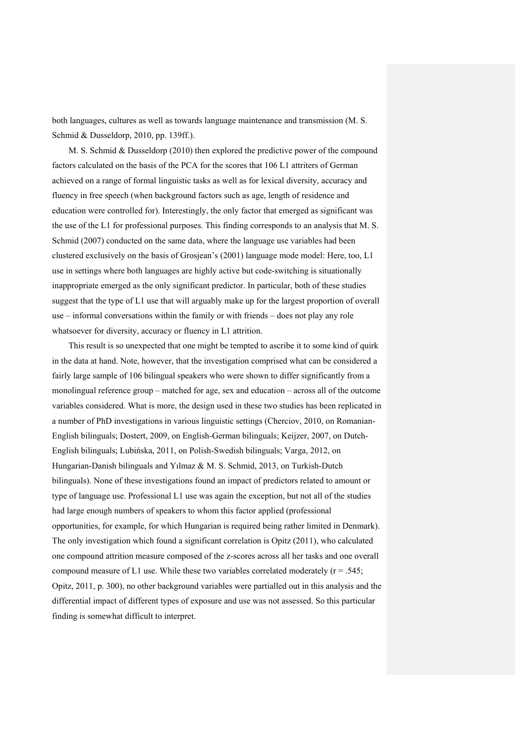both languages, cultures as well as towards language maintenance and transmission (M. S. Schmid & Dusseldorp, 2010, pp. 139ff.).

 M. S. Schmid & Dusseldorp (2010) then explored the predictive power of the compound factors calculated on the basis of the PCA for the scores that 106 L1 attriters of German achieved on a range of formal linguistic tasks as well as for lexical diversity, accuracy and fluency in free speech (when background factors such as age, length of residence and education were controlled for). Interestingly, the only factor that emerged as significant was the use of the L1 for professional purposes. This finding corresponds to an analysis that M. S. Schmid (2007) conducted on the same data, where the language use variables had been clustered exclusively on the basis of Grosjean's (2001) language mode model: Here, too, L1 use in settings where both languages are highly active but code-switching is situationally inappropriate emerged as the only significant predictor. In particular, both of these studies suggest that the type of L1 use that will arguably make up for the largest proportion of overall use – informal conversations within the family or with friends – does not play any role whatsoever for diversity, accuracy or fluency in L1 attrition.

 This result is so unexpected that one might be tempted to ascribe it to some kind of quirk in the data at hand. Note, however, that the investigation comprised what can be considered a fairly large sample of 106 bilingual speakers who were shown to differ significantly from a monolingual reference group – matched for age, sex and education – across all of the outcome variables considered. What is more, the design used in these two studies has been replicated in a number of PhD investigations in various linguistic settings (Cherciov, 2010, on Romanian-English bilinguals; Dostert, 2009, on English-German bilinguals; Keijzer, 2007, on Dutch-English bilinguals; Lubińska, 2011, on Polish-Swedish bilinguals; Varga, 2012, on Hungarian-Danish bilinguals and Yılmaz & M. S. Schmid, 2013, on Turkish-Dutch bilinguals). None of these investigations found an impact of predictors related to amount or type of language use. Professional L1 use was again the exception, but not all of the studies had large enough numbers of speakers to whom this factor applied (professional opportunities, for example, for which Hungarian is required being rather limited in Denmark). The only investigation which found a significant correlation is Opitz (2011), who calculated one compound attrition measure composed of the z-scores across all her tasks and one overall compound measure of L1 use. While these two variables correlated moderately  $(r = .545;$ Opitz, 2011, p. 300), no other background variables were partialled out in this analysis and the differential impact of different types of exposure and use was not assessed. So this particular finding is somewhat difficult to interpret.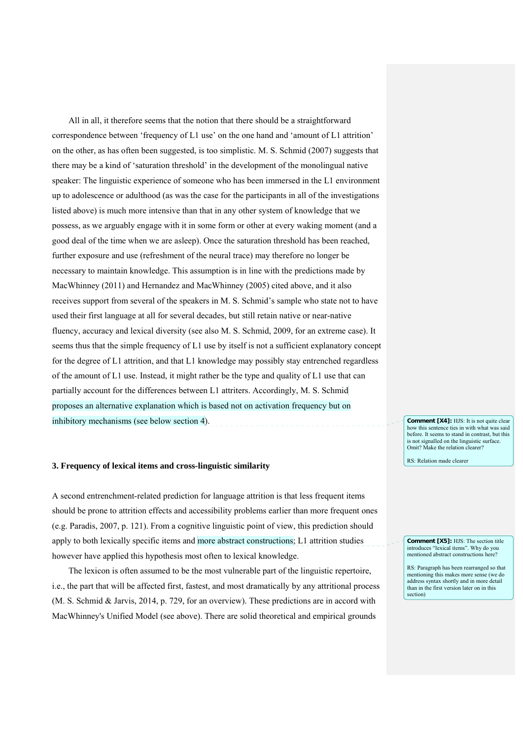All in all, it therefore seems that the notion that there should be a straightforward correspondence between 'frequency of L1 use' on the one hand and 'amount of L1 attrition' on the other, as has often been suggested, is too simplistic. M. S. Schmid (2007) suggests that there may be a kind of 'saturation threshold' in the development of the monolingual native speaker: The linguistic experience of someone who has been immersed in the L1 environment up to adolescence or adulthood (as was the case for the participants in all of the investigations listed above) is much more intensive than that in any other system of knowledge that we possess, as we arguably engage with it in some form or other at every waking moment (and a good deal of the time when we are asleep). Once the saturation threshold has been reached, further exposure and use (refreshment of the neural trace) may therefore no longer be necessary to maintain knowledge. This assumption is in line with the predictions made by MacWhinney (2011) and Hernandez and MacWhinney (2005) cited above, and it also receives support from several of the speakers in M. S. Schmid's sample who state not to have used their first language at all for several decades, but still retain native or near-native fluency, accuracy and lexical diversity (see also M. S. Schmid, 2009, for an extreme case). It seems thus that the simple frequency of L1 use by itself is not a sufficient explanatory concept for the degree of L1 attrition, and that L1 knowledge may possibly stay entrenched regardless of the amount of L1 use. Instead, it might rather be the type and quality of L1 use that can partially account for the differences between L1 attriters. Accordingly, M. S. Schmid proposes an alternative explanation which is based not on activation frequency but on inhibitory mechanisms (see below section 4).

# **3. Frequency of lexical items and cross-linguistic similarity**

A second entrenchment-related prediction for language attrition is that less frequent items should be prone to attrition effects and accessibility problems earlier than more frequent ones (e.g. Paradis, 2007, p. 121). From a cognitive linguistic point of view, this prediction should apply to both lexically specific items and more abstract constructions; L1 attrition studies however have applied this hypothesis most often to lexical knowledge.

 The lexicon is often assumed to be the most vulnerable part of the linguistic repertoire, i.e., the part that will be affected first, fastest, and most dramatically by any attritional process (M. S. Schmid & Jarvis, 2014, p. 729, for an overview). These predictions are in accord with MacWhinney's Unified Model (see above). There are solid theoretical and empirical grounds

**Comment [X4]:** HJS: It is not quite clear how this sentence ties in with what was said before. It seems to stand in contrast, but this is not signalled on the linguistic surface. Omit? Make the relation clearer?

RS: Relation made clearer

**Comment [X5]:** HJS: The section title introduces "lexical items". Why do you mentioned abstract constructions here?

RS: Paragraph has been rearranged so that mentioning this makes more sense (we do address syntax shortly and in more detail than in the first version later on in this section)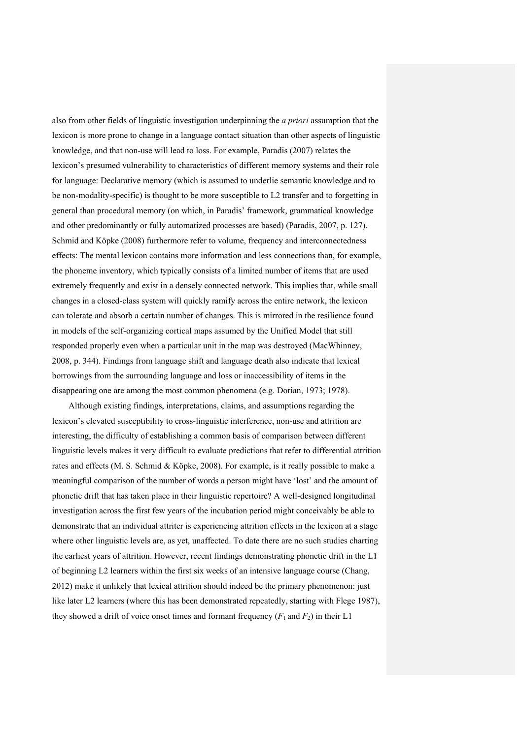also from other fields of linguistic investigation underpinning the *a priori* assumption that the lexicon is more prone to change in a language contact situation than other aspects of linguistic knowledge, and that non-use will lead to loss. For example, Paradis (2007) relates the lexicon's presumed vulnerability to characteristics of different memory systems and their role for language: Declarative memory (which is assumed to underlie semantic knowledge and to be non-modality-specific) is thought to be more susceptible to L2 transfer and to forgetting in general than procedural memory (on which, in Paradis' framework, grammatical knowledge and other predominantly or fully automatized processes are based) (Paradis, 2007, p. 127). Schmid and Köpke (2008) furthermore refer to volume, frequency and interconnectedness effects: The mental lexicon contains more information and less connections than, for example, the phoneme inventory, which typically consists of a limited number of items that are used extremely frequently and exist in a densely connected network. This implies that, while small changes in a closed-class system will quickly ramify across the entire network, the lexicon can tolerate and absorb a certain number of changes. This is mirrored in the resilience found in models of the self-organizing cortical maps assumed by the Unified Model that still responded properly even when a particular unit in the map was destroyed (MacWhinney, 2008, p. 344). Findings from language shift and language death also indicate that lexical borrowings from the surrounding language and loss or inaccessibility of items in the disappearing one are among the most common phenomena (e.g. Dorian, 1973; 1978).

 Although existing findings, interpretations, claims, and assumptions regarding the lexicon's elevated susceptibility to cross-linguistic interference, non-use and attrition are interesting, the difficulty of establishing a common basis of comparison between different linguistic levels makes it very difficult to evaluate predictions that refer to differential attrition rates and effects (M. S. Schmid & Köpke, 2008). For example, is it really possible to make a meaningful comparison of the number of words a person might have 'lost' and the amount of phonetic drift that has taken place in their linguistic repertoire? A well-designed longitudinal investigation across the first few years of the incubation period might conceivably be able to demonstrate that an individual attriter is experiencing attrition effects in the lexicon at a stage where other linguistic levels are, as yet, unaffected. To date there are no such studies charting the earliest years of attrition. However, recent findings demonstrating phonetic drift in the L1 of beginning L2 learners within the first six weeks of an intensive language course (Chang, 2012) make it unlikely that lexical attrition should indeed be the primary phenomenon: just like later L2 learners (where this has been demonstrated repeatedly, starting with Flege 1987), they showed a drift of voice onset times and formant frequency  $(F_1$  and  $F_2)$  in their L1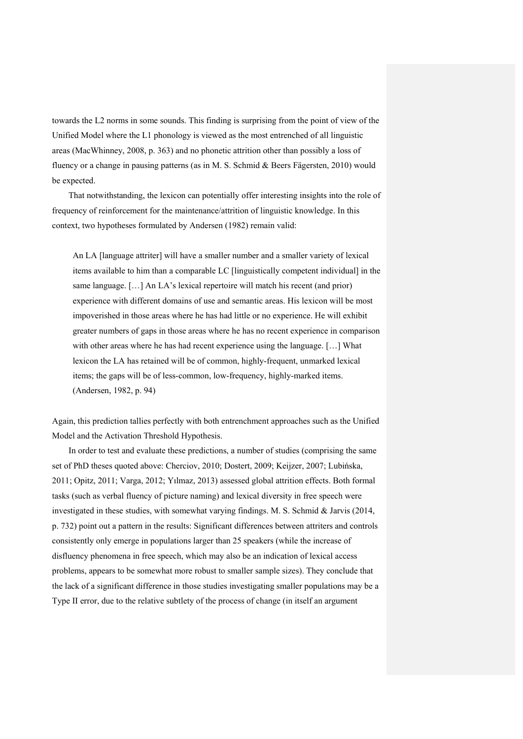towards the L2 norms in some sounds. This finding is surprising from the point of view of the Unified Model where the L1 phonology is viewed as the most entrenched of all linguistic areas (MacWhinney, 2008, p. 363) and no phonetic attrition other than possibly a loss of fluency or a change in pausing patterns (as in M. S. Schmid & Beers Fägersten, 2010) would be expected.

 That notwithstanding, the lexicon can potentially offer interesting insights into the role of frequency of reinforcement for the maintenance/attrition of linguistic knowledge. In this context, two hypotheses formulated by Andersen (1982) remain valid:

An LA [language attriter] will have a smaller number and a smaller variety of lexical items available to him than a comparable LC [linguistically competent individual] in the same language. […] An LA's lexical repertoire will match his recent (and prior) experience with different domains of use and semantic areas. His lexicon will be most impoverished in those areas where he has had little or no experience. He will exhibit greater numbers of gaps in those areas where he has no recent experience in comparison with other areas where he has had recent experience using the language. […] What lexicon the LA has retained will be of common, highly-frequent, unmarked lexical items; the gaps will be of less-common, low-frequency, highly-marked items. (Andersen, 1982, p. 94)

Again, this prediction tallies perfectly with both entrenchment approaches such as the Unified Model and the Activation Threshold Hypothesis.

 In order to test and evaluate these predictions, a number of studies (comprising the same set of PhD theses quoted above: Cherciov, 2010; Dostert, 2009; Keijzer, 2007; Lubińska, 2011; Opitz, 2011; Varga, 2012; Yılmaz, 2013) assessed global attrition effects. Both formal tasks (such as verbal fluency of picture naming) and lexical diversity in free speech were investigated in these studies, with somewhat varying findings. M. S. Schmid & Jarvis (2014, p. 732) point out a pattern in the results: Significant differences between attriters and controls consistently only emerge in populations larger than 25 speakers (while the increase of disfluency phenomena in free speech, which may also be an indication of lexical access problems, appears to be somewhat more robust to smaller sample sizes). They conclude that the lack of a significant difference in those studies investigating smaller populations may be a Type II error, due to the relative subtlety of the process of change (in itself an argument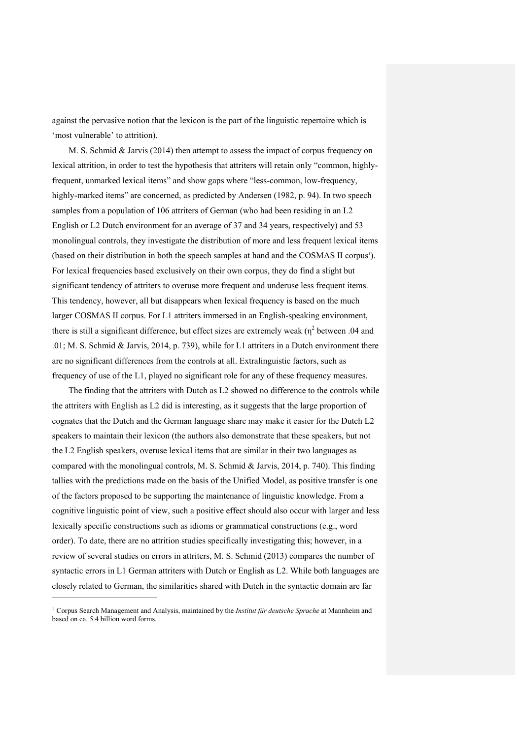against the pervasive notion that the lexicon is the part of the linguistic repertoire which is 'most vulnerable' to attrition).

 M. S. Schmid & Jarvis (2014) then attempt to assess the impact of corpus frequency on lexical attrition, in order to test the hypothesis that attriters will retain only "common, highlyfrequent, unmarked lexical items" and show gaps where "less-common, low-frequency, highly-marked items" are concerned, as predicted by Andersen (1982, p. 94). In two speech samples from a population of 106 attriters of German (who had been residing in an L2 English or L2 Dutch environment for an average of 37 and 34 years, respectively) and 53 monolingual controls, they investigate the distribution of more and less frequent lexical items (based on their distribution in both the speech samples at hand and the COSMAS II corpus<sup>1</sup>). For lexical frequencies based exclusively on their own corpus, they do find a slight but significant tendency of attriters to overuse more frequent and underuse less frequent items. This tendency, however, all but disappears when lexical frequency is based on the much larger COSMAS II corpus. For L1 attriters immersed in an English-speaking environment, there is still a significant difference, but effect sizes are extremely weak  $(\eta^2)$  between 0.04 and .01; M. S. Schmid & Jarvis, 2014, p. 739), while for L1 attriters in a Dutch environment there are no significant differences from the controls at all. Extralinguistic factors, such as frequency of use of the L1, played no significant role for any of these frequency measures.

 The finding that the attriters with Dutch as L2 showed no difference to the controls while the attriters with English as L2 did is interesting, as it suggests that the large proportion of cognates that the Dutch and the German language share may make it easier for the Dutch L2 speakers to maintain their lexicon (the authors also demonstrate that these speakers, but not the L2 English speakers, overuse lexical items that are similar in their two languages as compared with the monolingual controls, M. S. Schmid & Jarvis, 2014, p. 740). This finding tallies with the predictions made on the basis of the Unified Model, as positive transfer is one of the factors proposed to be supporting the maintenance of linguistic knowledge. From a cognitive linguistic point of view, such a positive effect should also occur with larger and less lexically specific constructions such as idioms or grammatical constructions (e.g., word order). To date, there are no attrition studies specifically investigating this; however, in a review of several studies on errors in attriters, M. S. Schmid (2013) compares the number of syntactic errors in L1 German attriters with Dutch or English as L2. While both languages are closely related to German, the similarities shared with Dutch in the syntactic domain are far

 $\overline{a}$ 

<sup>1</sup> Corpus Search Management and Analysis, maintained by the *Institut für deutsche Sprache* at Mannheim and based on ca. 5.4 billion word forms.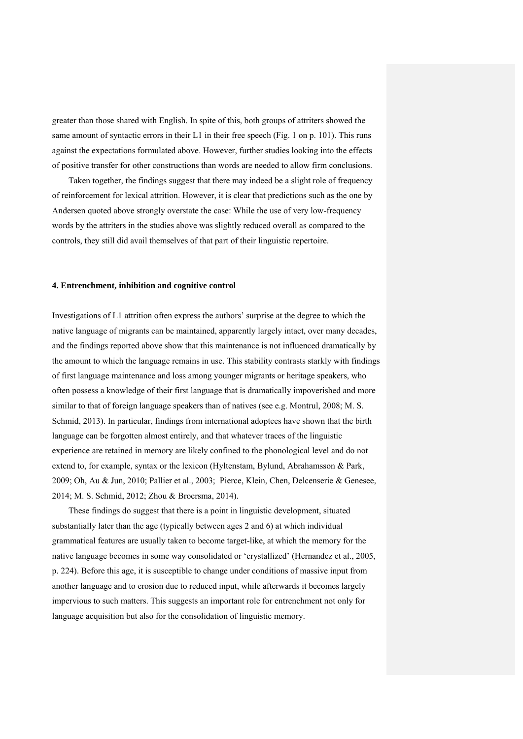greater than those shared with English. In spite of this, both groups of attriters showed the same amount of syntactic errors in their L1 in their free speech (Fig. 1 on p. 101). This runs against the expectations formulated above. However, further studies looking into the effects of positive transfer for other constructions than words are needed to allow firm conclusions.

 Taken together, the findings suggest that there may indeed be a slight role of frequency of reinforcement for lexical attrition. However, it is clear that predictions such as the one by Andersen quoted above strongly overstate the case: While the use of very low-frequency words by the attriters in the studies above was slightly reduced overall as compared to the controls, they still did avail themselves of that part of their linguistic repertoire.

### **4. Entrenchment, inhibition and cognitive control**

Investigations of L1 attrition often express the authors' surprise at the degree to which the native language of migrants can be maintained, apparently largely intact, over many decades, and the findings reported above show that this maintenance is not influenced dramatically by the amount to which the language remains in use. This stability contrasts starkly with findings of first language maintenance and loss among younger migrants or heritage speakers, who often possess a knowledge of their first language that is dramatically impoverished and more similar to that of foreign language speakers than of natives (see e.g. Montrul, 2008; M. S. Schmid, 2013). In particular, findings from international adoptees have shown that the birth language can be forgotten almost entirely, and that whatever traces of the linguistic experience are retained in memory are likely confined to the phonological level and do not extend to, for example, syntax or the lexicon (Hyltenstam, Bylund, Abrahamsson & Park, 2009; Oh, Au & Jun, 2010; Pallier et al., 2003; Pierce, Klein, Chen, Delcenserie & Genesee, 2014; M. S. Schmid, 2012; Zhou & Broersma, 2014).

 These findings do suggest that there is a point in linguistic development, situated substantially later than the age (typically between ages 2 and 6) at which individual grammatical features are usually taken to become target-like, at which the memory for the native language becomes in some way consolidated or 'crystallized' (Hernandez et al., 2005, p. 224). Before this age, it is susceptible to change under conditions of massive input from another language and to erosion due to reduced input, while afterwards it becomes largely impervious to such matters. This suggests an important role for entrenchment not only for language acquisition but also for the consolidation of linguistic memory.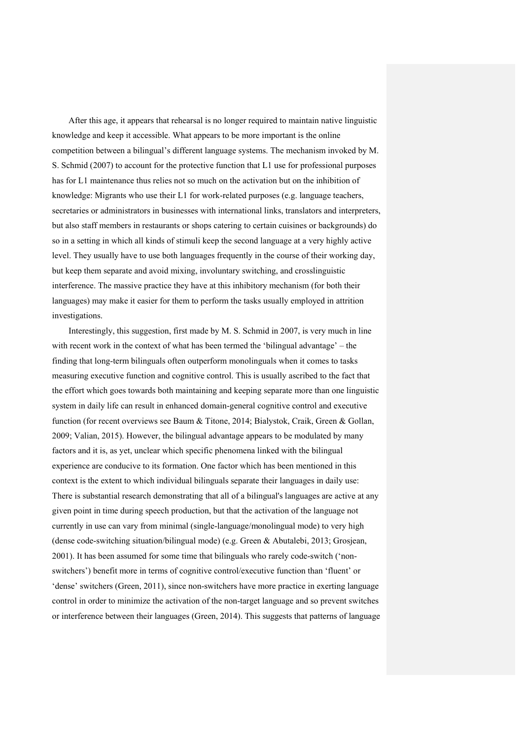After this age, it appears that rehearsal is no longer required to maintain native linguistic knowledge and keep it accessible. What appears to be more important is the online competition between a bilingual's different language systems. The mechanism invoked by M. S. Schmid (2007) to account for the protective function that L1 use for professional purposes has for L1 maintenance thus relies not so much on the activation but on the inhibition of knowledge: Migrants who use their L1 for work-related purposes (e.g. language teachers, secretaries or administrators in businesses with international links, translators and interpreters, but also staff members in restaurants or shops catering to certain cuisines or backgrounds) do so in a setting in which all kinds of stimuli keep the second language at a very highly active level. They usually have to use both languages frequently in the course of their working day, but keep them separate and avoid mixing, involuntary switching, and crosslinguistic interference. The massive practice they have at this inhibitory mechanism (for both their languages) may make it easier for them to perform the tasks usually employed in attrition investigations.

 Interestingly, this suggestion, first made by M. S. Schmid in 2007, is very much in line with recent work in the context of what has been termed the 'bilingual advantage' – the finding that long-term bilinguals often outperform monolinguals when it comes to tasks measuring executive function and cognitive control. This is usually ascribed to the fact that the effort which goes towards both maintaining and keeping separate more than one linguistic system in daily life can result in enhanced domain-general cognitive control and executive function (for recent overviews see Baum & Titone, 2014; Bialystok, Craik, Green & Gollan, 2009; Valian, 2015). However, the bilingual advantage appears to be modulated by many factors and it is, as yet, unclear which specific phenomena linked with the bilingual experience are conducive to its formation. One factor which has been mentioned in this context is the extent to which individual bilinguals separate their languages in daily use: There is substantial research demonstrating that all of a bilingual's languages are active at any given point in time during speech production, but that the activation of the language not currently in use can vary from minimal (single-language/monolingual mode) to very high (dense code-switching situation/bilingual mode) (e.g. Green & Abutalebi, 2013; Grosjean, 2001). It has been assumed for some time that bilinguals who rarely code-switch ('nonswitchers') benefit more in terms of cognitive control/executive function than 'fluent' or 'dense' switchers (Green, 2011), since non-switchers have more practice in exerting language control in order to minimize the activation of the non-target language and so prevent switches or interference between their languages (Green, 2014). This suggests that patterns of language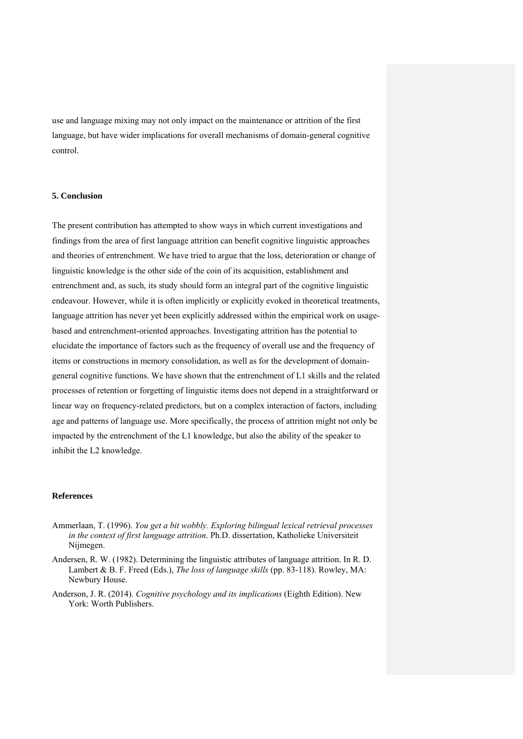use and language mixing may not only impact on the maintenance or attrition of the first language, but have wider implications for overall mechanisms of domain-general cognitive control.

### **5. Conclusion**

The present contribution has attempted to show ways in which current investigations and findings from the area of first language attrition can benefit cognitive linguistic approaches and theories of entrenchment. We have tried to argue that the loss, deterioration or change of linguistic knowledge is the other side of the coin of its acquisition, establishment and entrenchment and, as such, its study should form an integral part of the cognitive linguistic endeavour. However, while it is often implicitly or explicitly evoked in theoretical treatments, language attrition has never yet been explicitly addressed within the empirical work on usagebased and entrenchment-oriented approaches. Investigating attrition has the potential to elucidate the importance of factors such as the frequency of overall use and the frequency of items or constructions in memory consolidation, as well as for the development of domaingeneral cognitive functions. We have shown that the entrenchment of L1 skills and the related processes of retention or forgetting of linguistic items does not depend in a straightforward or linear way on frequency-related predictors, but on a complex interaction of factors, including age and patterns of language use. More specifically, the process of attrition might not only be impacted by the entrenchment of the L1 knowledge, but also the ability of the speaker to inhibit the L2 knowledge.

### **References**

- Ammerlaan, T. (1996). *You get a bit wobbly. Exploring bilingual lexical retrieval processes in the context of first language attrition*. Ph.D. dissertation, Katholieke Universiteit Nijmegen.
- Andersen, R. W. (1982). Determining the linguistic attributes of language attrition. In R. D. Lambert & B. F. Freed (Eds.), *The loss of language skills* (pp. 83-118). Rowley, MA: Newbury House.
- Anderson, J. R. (2014). *Cognitive psychology and its implications* (Eighth Edition). New York: Worth Publishers.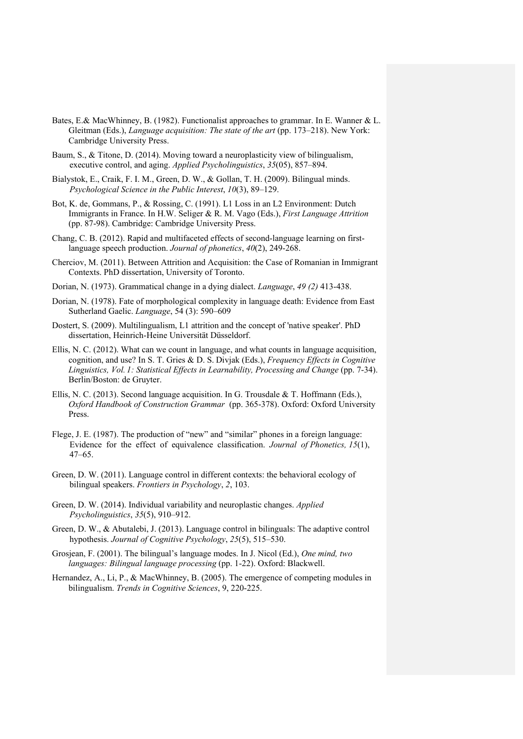- Bates, E.& MacWhinney, B. (1982). Functionalist approaches to grammar. In E. Wanner & L. Gleitman (Eds.), *Language acquisition: The state of the art* (pp. 173–218). New York: Cambridge University Press.
- Baum, S., & Titone, D. (2014). Moving toward a neuroplasticity view of bilingualism, executive control, and aging. *Applied Psycholinguistics*, *35*(05), 857–894.
- Bialystok, E., Craik, F. I. M., Green, D. W., & Gollan, T. H. (2009). Bilingual minds. *Psychological Science in the Public Interest*, *10*(3), 89–129.
- Bot, K. de, Gommans, P., & Rossing, C. (1991). L1 Loss in an L2 Environment: Dutch Immigrants in France. In H.W. Seliger & R. M. Vago (Eds.), *First Language Attrition* (pp. 87-98). Cambridge: Cambridge University Press.
- Chang, C. B. (2012). Rapid and multifaceted effects of second-language learning on firstlanguage speech production. *Journal of phonetics*, *40*(2), 249-268.
- Cherciov, M. (2011). Between Attrition and Acquisition: the Case of Romanian in Immigrant Contexts. PhD dissertation, University of Toronto.
- Dorian, N. (1973). Grammatical change in a dying dialect. *Language*, *49 (2)* 413-438.
- Dorian, N. (1978). Fate of morphological complexity in language death: Evidence from East Sutherland Gaelic. *Language*, 54 (3): 590–609
- Dostert, S. (2009). Multilingualism, L1 attrition and the concept of 'native speaker'. PhD dissertation, Heinrich-Heine Universität Düsseldorf.
- Ellis, N. C. (2012). What can we count in language, and what counts in language acquisition, cognition, and use? In S. T. Gries & D. S. Divjak (Eds.), *Frequency Effects in Cognitive Linguistics, Vol. 1: Statistical Effects in Learnability, Processing and Change* (pp. 7-34). Berlin/Boston: de Gruyter.
- Ellis, N. C. (2013). Second language acquisition. In G. Trousdale & T. Hoffmann (Eds.), *Oxford Handbook of Construction Grammar* (pp. 365-378). Oxford: Oxford University Press.
- Flege, J. E. (1987). The production of "new" and "similar" phones in a foreign language: Evidence for the effect of equivalence classification. *Journal of Phonetics, 15*(1), 47–65.
- Green, D. W. (2011). Language control in different contexts: the behavioral ecology of bilingual speakers. *Frontiers in Psychology*, *2*, 103.
- Green, D. W. (2014). Individual variability and neuroplastic changes. *Applied Psycholinguistics*, *35*(5), 910–912.
- Green, D. W., & Abutalebi, J. (2013). Language control in bilinguals: The adaptive control hypothesis. *Journal of Cognitive Psychology*, *25*(5), 515–530.
- Grosjean, F. (2001). The bilingual's language modes. In J. Nicol (Ed.), *One mind, two languages: Bilingual language processing* (pp. 1-22). Oxford: Blackwell.
- Hernandez, A., Li, P., & MacWhinney, B. (2005). The emergence of competing modules in bilingualism. *Trends in Cognitive Sciences*, 9, 220-225.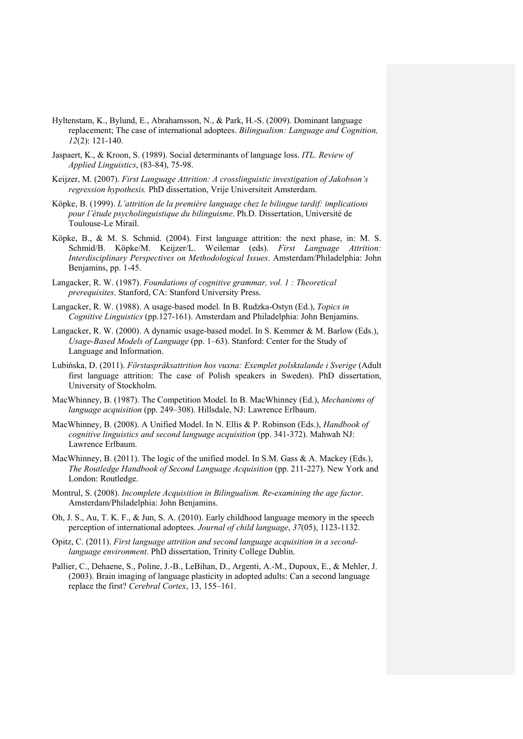- Hyltenstam, K., Bylund, E., Abrahamsson, N., & Park, H.-S. (2009). Dominant language replacement; The case of international adoptees. *Bilingualism: Language and Cognition, 12*(2): 121-140.
- Jaspaert, K., & Kroon, S. (1989). Social determinants of language loss. *ITL. Review of Applied Linguistics*, (83-84), 75-98.
- Keijzer, M. (2007). *First Language Attrition: A crosslinguistic investigation of Jakobson's regression hypothesis.* PhD dissertation, Vrije Universiteit Amsterdam.
- Köpke, B. (1999). *L'attrition de la première language chez le bilingue tardif: implications pour l'étude psycholinguistique du bilinguisme*. Ph.D. Dissertation, Université de Toulouse-Le Mirail.
- Köpke, B., & M. S. Schmid. (2004). First language attrition: the next phase, in: M. S. Schmid/B. Köpke/M. Keijzer/L. Weilemar (eds). *First Language Attrition: Interdisciplinary Perspectives on Methodological Issues*. Amsterdam/Philadelphia: John Benjamins, pp. 1-45.
- Langacker, R. W. (1987). *Foundations of cognitive grammar, vol. 1 : Theoretical prerequisites*. Stanford, CA: Stanford University Press.
- Langacker, R. W. (1988). A usage-based model. In B. Rudzka-Ostyn (Ed.), *Topics in Cognitive Linguistics* (pp.127-161). Amsterdam and Philadelphia: John Benjamins.
- Langacker, R. W. (2000). A dynamic usage-based model. In S. Kemmer & M. Barlow (Eds.), *Usage-Based Models of Language* (pp. 1–63). Stanford: Center for the Study of Language and Information.
- Lubińska, D. (2011). *Förstaspråksattrition hos vuxna: Exemplet polsktalande i Sverige* (Adult first language attrition: The case of Polish speakers in Sweden). PhD dissertation, University of Stockholm.
- MacWhinney, B. (1987). The Competition Model. In B. MacWhinney (Ed.), *Mechanisms of language acquisition* (pp. 249–308). Hillsdale, NJ: Lawrence Erlbaum.
- MacWhinney, B. (2008). A Unified Model. In N. Ellis & P. Robinson (Eds.), *Handbook of cognitive linguistics and second language acquisition* (pp. 341-372). Mahwah NJ: Lawrence Erlbaum.
- MacWhinney, B. (2011). The logic of the unified model. In S.M. Gass & A. Mackey (Eds.), *The Routledge Handbook of Second Language Acquisition* (pp. 211-227). New York and London: Routledge.
- Montrul, S. (2008). *Incomplete Acquisition in Bilingualism. Re-examining the age factor*. Amsterdam/Philadelphia: John Benjamins.
- Oh, J. S., Au, T. K. F., & Jun, S. A. (2010). Early childhood language memory in the speech perception of international adoptees. *Journal of child language*, *37*(05), 1123-1132.
- Opitz, C. (2011). *First language attrition and second language acquisition in a secondlanguage environment*. PhD dissertation, Trinity College Dublin.
- Pallier, C., Dehaene, S., Poline, J.-B., LeBihan, D., Argenti, A.-M., Dupoux, E., & Mehler, J. (2003). Brain imaging of language plasticity in adopted adults: Can a second language replace the first? *Cerebral Cortex*, 13, 155–161.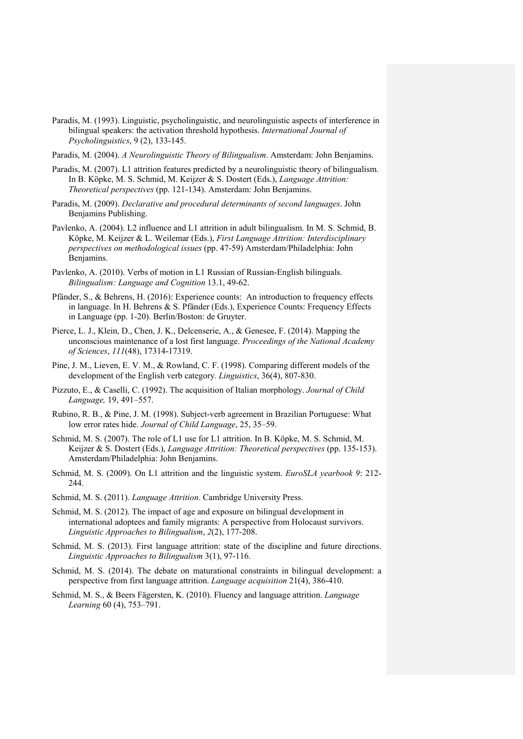- Paradis, M. (1993). Linguistic, psycholinguistic, and neurolinguistic aspects of interference in bilingual speakers: the activation threshold hypothesis. *International Journal of Psycholinguistics*, 9 (2), 133-145.
- Paradis, M. (2004). *A Neurolinguistic Theory of Bilingualism*. Amsterdam: John Benjamins.
- Paradis, M. (2007). L1 attrition features predicted by a neurolinguistic theory of bilingualism. In B. Köpke, M. S. Schmid, M. Keijzer & S. Dostert (Eds.), *Language Attrition: Theoretical perspectives* (pp. 121-134). Amsterdam: John Benjamins.
- Paradis, M. (2009). *Declarative and procedural determinants of second languages*. John Benjamins Publishing.
- Pavlenko, A. (2004). L2 influence and L1 attrition in adult bilingualism. In M. S. Schmid, B. Köpke, M. Keijzer & L. Weilemar (Eds.), *First Language Attrition: Interdisciplinary perspectives on methodological issues* (pp. 47-59) Amsterdam/Philadelphia: John Benjamins.
- Pavlenko, A. (2010). Verbs of motion in L1 Russian of Russian-English bilinguals. *Bilingualism: Language and Cognition* 13.1, 49-62.
- Pfänder, S., & Behrens, H. (2016): Experience counts: An introduction to frequency effects in language. In H. Behrens & S. Pfänder (Eds.), Experience Counts: Frequency Effects in Language (pp. 1-20). Berlin/Boston: de Gruyter.
- Pierce, L. J., Klein, D., Chen, J. K., Delcenserie, A., & Genesee, F. (2014). Mapping the unconscious maintenance of a lost first language. *Proceedings of the National Academy of Sciences*, *111*(48), 17314-17319.
- Pine, J. M., Lieven, E. V. M., & Rowland, C. F. (1998). Comparing different models of the development of the English verb category. *Linguistics*, 36(4), 807-830.
- Pizzuto, E., & Caselli, C. (1992). The acquisition of Italian morphology. *Journal of Child Language,* 19, 491–557.
- Rubino, R. B., & Pine, J. M. (1998). Subject-verb agreement in Brazilian Portuguese: What low error rates hide. *Journal of Child Language*, 25, 35–59.
- Schmid, M. S. (2007). The role of L1 use for L1 attrition. In B. Köpke, M. S. Schmid, M. Keijzer & S. Dostert (Eds.), *Language Attrition: Theoretical perspectives* (pp. 135-153). Amsterdam/Philadelphia: John Benjamins.
- Schmid, M. S. (2009). On L1 attrition and the linguistic system. *EuroSLA yearbook 9*: 212- 244
- Schmid, M. S. (2011). *Language Attrition*. Cambridge University Press.
- Schmid, M. S. (2012). The impact of age and exposure on bilingual development in international adoptees and family migrants: A perspective from Holocaust survivors. *Linguistic Approaches to Bilingualism*, *2*(2), 177-208.
- Schmid, M. S. (2013). First language attrition: state of the discipline and future directions. *Linguistic Approaches to Bilingualism* 3(1), 97-116.
- Schmid, M. S. (2014). The debate on maturational constraints in bilingual development: a perspective from first language attrition. *Language acquisition* 21(4), 386-410.
- Schmid, M. S., & Beers Fägersten, K. (2010). Fluency and language attrition. *Language Learning* 60 (4), 753–791.